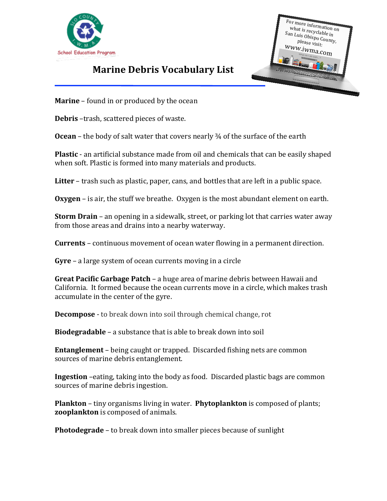



## **Marine Debris Vocabulary List**

**Marine** – found in or produced by the ocean

**Debris** –trash, scattered pieces of waste.

**Ocean** – the body of salt water that covers nearly <sup>3</sup>/<sub>4</sub> of the surface of the earth

**Plastic** - an artificial substance made from oil and chemicals that can be easily shaped when soft. Plastic is formed into many materials and products.

**Litter** – trash such as plastic, paper, cans, and bottles that are left in a public space.

**Oxygen** – is air, the stuff we breathe. Oxygen is the most abundant element on earth.

**Storm Drain** – an opening in a sidewalk, street, or parking lot that carries water away from those areas and drains into a nearby waterway.

**Currents** – continuous movement of ocean water flowing in a permanent direction.

**Gyre** – a large system of ocean currents moving in a circle

**Great Pacific Garbage Patch** – a huge area of marine debris between Hawaii and California. It formed because the ocean currents move in a circle, which makes trash accumulate in the center of the gyre.

**Decompose** - to break down into soil through chemical change, rot

**Biodegradable** – a substance that is able to break down into soil

**Entanglement** – being caught or trapped. Discarded fishing nets are common sources of marine debris entanglement.

**Ingestion** –eating, taking into the body as food. Discarded plastic bags are common sources of marine debris ingestion.

**Plankton** – tiny organisms living in water. **Phytoplankton** is composed of plants; **zooplankton** is composed of animals.

**Photodegrade** – to break down into smaller pieces because of sunlight